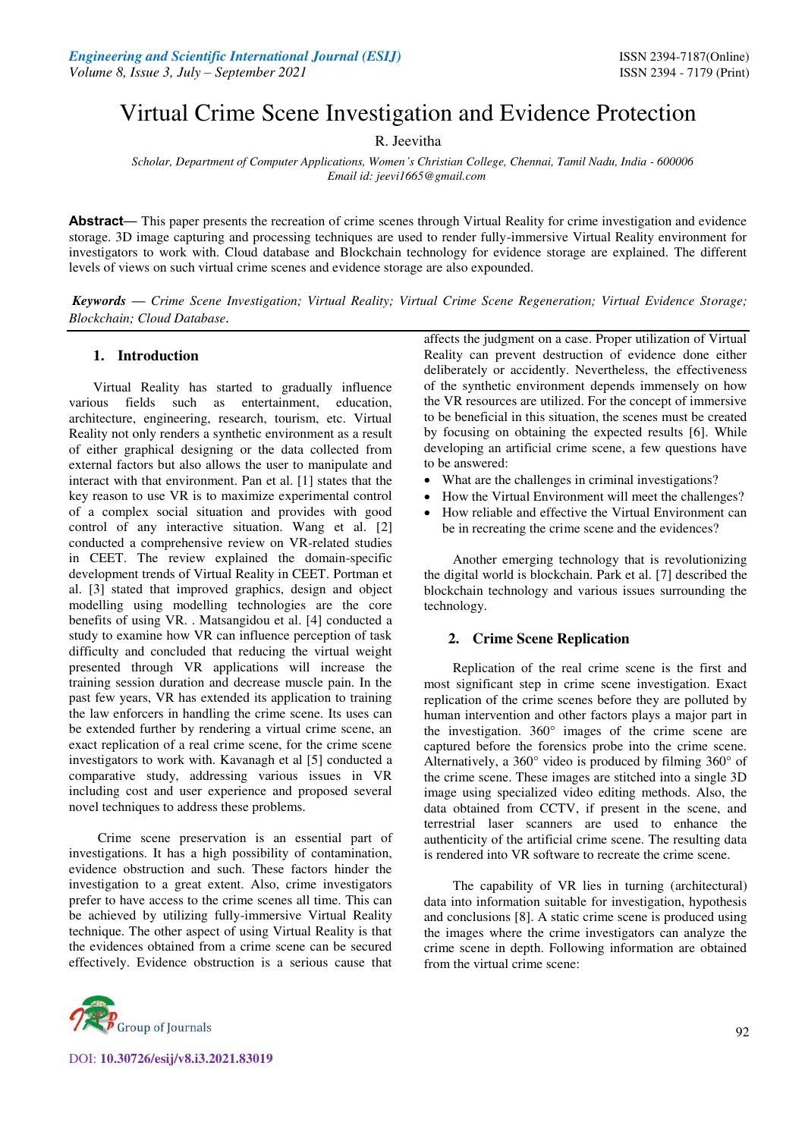# Virtual Crime Scene Investigation and Evidence Protection

R. Jeevitha

*Scholar, Department of Computer Applications, Women's Christian College, Chennai, Tamil Nadu, India - 600006 Email id: jeevi1665@gmail.com*

**Abstract***—* This paper presents the recreation of crime scenes through Virtual Reality for crime investigation and evidence storage. 3D image capturing and processing techniques are used to render fully-immersive Virtual Reality environment for investigators to work with. Cloud database and Blockchain technology for evidence storage are explained. The different levels of views on such virtual crime scenes and evidence storage are also expounded.

*Keywords* **—** *Crime Scene Investigation; Virtual Reality; Virtual Crime Scene Regeneration; Virtual Evidence Storage; Blockchain; Cloud Database.* 

## **1. Introduction**

 Virtual Reality has started to gradually influence various fields such as entertainment, education, architecture, engineering, research, tourism, etc. Virtual Reality not only renders a synthetic environment as a result of either graphical designing or the data collected from external factors but also allows the user to manipulate and interact with that environment. Pan et al. [1] states that the key reason to use VR is to maximize experimental control of a complex social situation and provides with good control of any interactive situation. Wang et al. [2] conducted a comprehensive review on VR-related studies in CEET. The review explained the domain-specific development trends of Virtual Reality in CEET. Portman et al. [3] stated that improved graphics, design and object modelling using modelling technologies are the core benefits of using VR. . Matsangidou et al. [4] conducted a study to examine how VR can influence perception of task difficulty and concluded that reducing the virtual weight presented through VR applications will increase the training session duration and decrease muscle pain. In the past few years, VR has extended its application to training the law enforcers in handling the crime scene. Its uses can be extended further by rendering a virtual crime scene, an exact replication of a real crime scene, for the crime scene investigators to work with. Kavanagh et al [5] conducted a comparative study, addressing various issues in VR including cost and user experience and proposed several novel techniques to address these problems.

 Crime scene preservation is an essential part of investigations. It has a high possibility of contamination, evidence obstruction and such. These factors hinder the investigation to a great extent. Also, crime investigators prefer to have access to the crime scenes all time. This can be achieved by utilizing fully-immersive Virtual Reality technique. The other aspect of using Virtual Reality is that the evidences obtained from a crime scene can be secured effectively. Evidence obstruction is a serious cause that



DOI: **10.30726/esij/v8.i3.2021.83019**

affects the judgment on a case. Proper utilization of Virtual Reality can prevent destruction of evidence done either deliberately or accidently. Nevertheless, the effectiveness of the synthetic environment depends immensely on how the VR resources are utilized. For the concept of immersive to be beneficial in this situation, the scenes must be created by focusing on obtaining the expected results [6]. While developing an artificial crime scene, a few questions have to be answered:

- What are the challenges in criminal investigations?
- How the Virtual Environment will meet the challenges?
- How reliable and effective the Virtual Environment can be in recreating the crime scene and the evidences?

 Another emerging technology that is revolutionizing the digital world is blockchain. Park et al. [7] described the blockchain technology and various issues surrounding the technology.

## **2. Crime Scene Replication**

 Replication of the real crime scene is the first and most significant step in crime scene investigation. Exact replication of the crime scenes before they are polluted by human intervention and other factors plays a major part in the investigation.  $360^\circ$  images of the crime scene are captured before the forensics probe into the crime scene. Alternatively, a 360° video is produced by filming 360° of the crime scene. These images are stitched into a single 3D image using specialized video editing methods. Also, the data obtained from CCTV, if present in the scene, and terrestrial laser scanners are used to enhance the authenticity of the artificial crime scene. The resulting data is rendered into VR software to recreate the crime scene.

 The capability of VR lies in turning (architectural) data into information suitable for investigation, hypothesis and conclusions [8]. A static crime scene is produced using the images where the crime investigators can analyze the crime scene in depth. Following information are obtained from the virtual crime scene: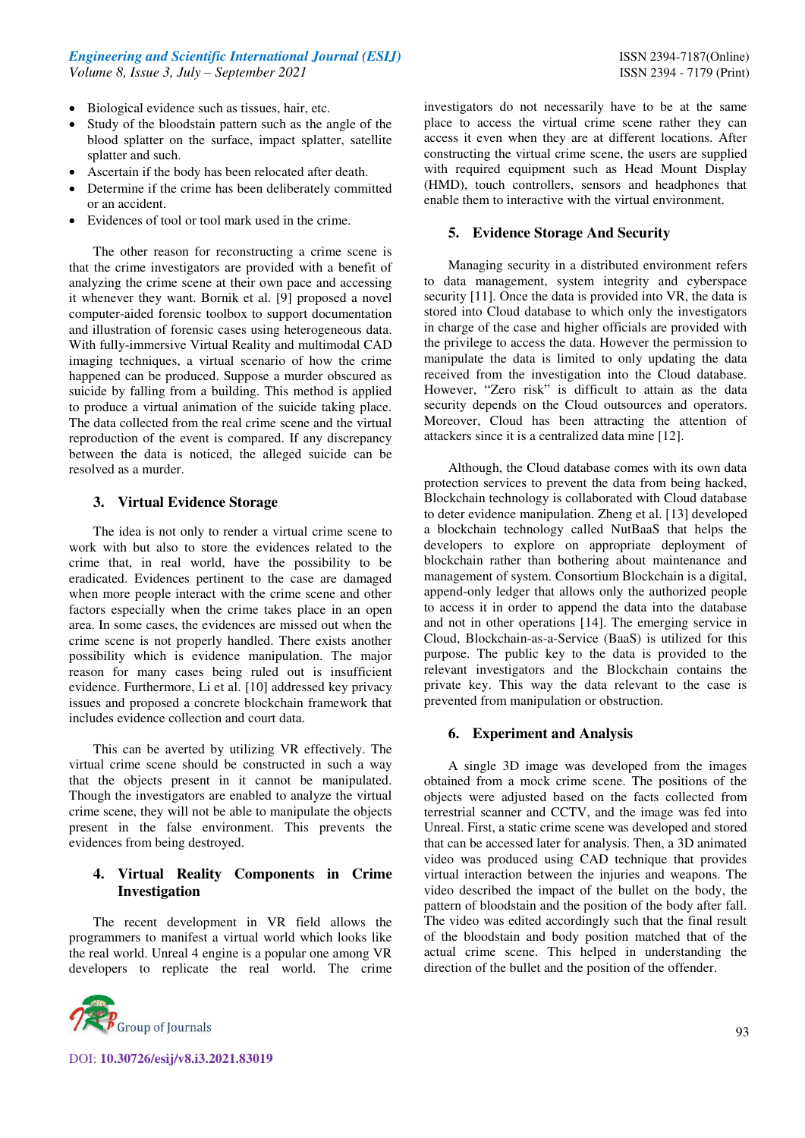- Biological evidence such as tissues, hair, etc.
- Study of the bloodstain pattern such as the angle of the blood splatter on the surface, impact splatter, satellite splatter and such.
- Ascertain if the body has been relocated after death.
- Determine if the crime has been deliberately committed or an accident.
- Evidences of tool or tool mark used in the crime.

 The other reason for reconstructing a crime scene is that the crime investigators are provided with a benefit of analyzing the crime scene at their own pace and accessing it whenever they want. Bornik et al. [9] proposed a novel computer-aided forensic toolbox to support documentation and illustration of forensic cases using heterogeneous data. With fully-immersive Virtual Reality and multimodal CAD imaging techniques, a virtual scenario of how the crime happened can be produced. Suppose a murder obscured as suicide by falling from a building. This method is applied to produce a virtual animation of the suicide taking place. The data collected from the real crime scene and the virtual reproduction of the event is compared. If any discrepancy between the data is noticed, the alleged suicide can be resolved as a murder.

#### **3. Virtual Evidence Storage**

 The idea is not only to render a virtual crime scene to work with but also to store the evidences related to the crime that, in real world, have the possibility to be eradicated. Evidences pertinent to the case are damaged when more people interact with the crime scene and other factors especially when the crime takes place in an open area. In some cases, the evidences are missed out when the crime scene is not properly handled. There exists another possibility which is evidence manipulation. The major reason for many cases being ruled out is insufficient evidence. Furthermore, Li et al. [10] addressed key privacy issues and proposed a concrete blockchain framework that includes evidence collection and court data.

 This can be averted by utilizing VR effectively. The virtual crime scene should be constructed in such a way that the objects present in it cannot be manipulated. Though the investigators are enabled to analyze the virtual crime scene, they will not be able to manipulate the objects present in the false environment. This prevents the evidences from being destroyed.

## **4. Virtual Reality Components in Crime Investigation**

 The recent development in VR field allows the programmers to manifest a virtual world which looks like the real world. Unreal 4 engine is a popular one among VR developers to replicate the real world. The crime



DOI: **10.30726/esij/v8.i3.2021.83019**

investigators do not necessarily have to be at the same place to access the virtual crime scene rather they can access it even when they are at different locations. After constructing the virtual crime scene, the users are supplied with required equipment such as Head Mount Display (HMD), touch controllers, sensors and headphones that enable them to interactive with the virtual environment.

#### **5. Evidence Storage And Security**

 Managing security in a distributed environment refers to data management, system integrity and cyberspace security [11]. Once the data is provided into VR, the data is stored into Cloud database to which only the investigators in charge of the case and higher officials are provided with the privilege to access the data. However the permission to manipulate the data is limited to only updating the data received from the investigation into the Cloud database. However, "Zero risk" is difficult to attain as the data security depends on the Cloud outsources and operators. Moreover, Cloud has been attracting the attention of attackers since it is a centralized data mine [12].

 Although, the Cloud database comes with its own data protection services to prevent the data from being hacked, Blockchain technology is collaborated with Cloud database to deter evidence manipulation. Zheng et al. [13] developed a blockchain technology called NutBaaS that helps the developers to explore on appropriate deployment of blockchain rather than bothering about maintenance and management of system. Consortium Blockchain is a digital, append-only ledger that allows only the authorized people to access it in order to append the data into the database and not in other operations [14]. The emerging service in Cloud, Blockchain-as-a-Service (BaaS) is utilized for this purpose. The public key to the data is provided to the relevant investigators and the Blockchain contains the private key. This way the data relevant to the case is prevented from manipulation or obstruction.

#### **6. Experiment and Analysis**

 A single 3D image was developed from the images obtained from a mock crime scene. The positions of the objects were adjusted based on the facts collected from terrestrial scanner and CCTV, and the image was fed into Unreal. First, a static crime scene was developed and stored that can be accessed later for analysis. Then, a 3D animated video was produced using CAD technique that provides virtual interaction between the injuries and weapons. The video described the impact of the bullet on the body, the pattern of bloodstain and the position of the body after fall. The video was edited accordingly such that the final result of the bloodstain and body position matched that of the actual crime scene. This helped in understanding the direction of the bullet and the position of the offender.